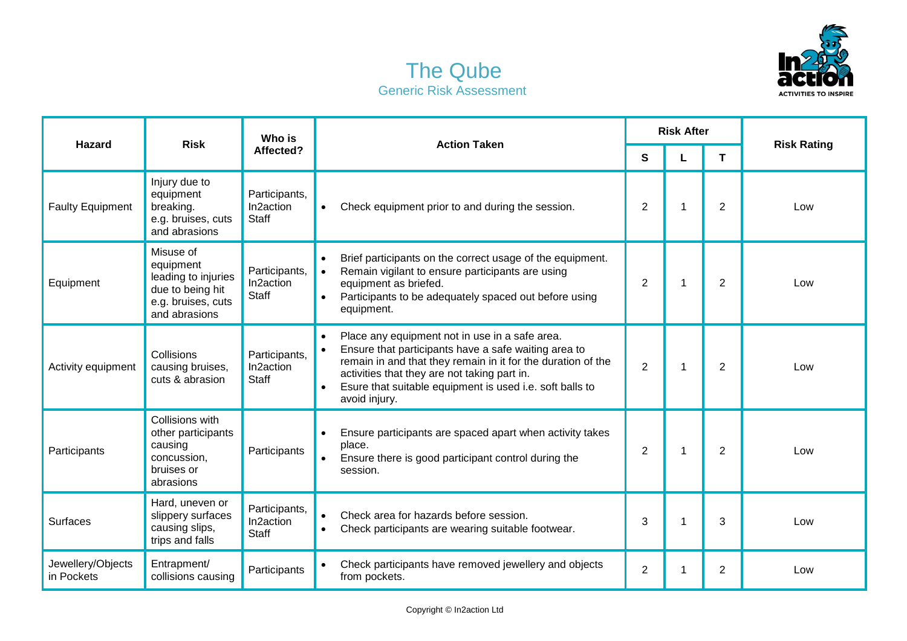



| <b>Hazard</b>                   | <b>Risk</b>                                                                                              | Who is<br>Affected?                        | <b>Action Taken</b>                                                                                                                                                                                                                                                                                 | <b>Risk After</b> |    |                |                    |
|---------------------------------|----------------------------------------------------------------------------------------------------------|--------------------------------------------|-----------------------------------------------------------------------------------------------------------------------------------------------------------------------------------------------------------------------------------------------------------------------------------------------------|-------------------|----|----------------|--------------------|
|                                 |                                                                                                          |                                            |                                                                                                                                                                                                                                                                                                     | S                 |    | Τ              | <b>Risk Rating</b> |
| <b>Faulty Equipment</b>         | Injury due to<br>equipment<br>breaking.<br>e.g. bruises, cuts<br>and abrasions                           | Participants,<br>In2action<br><b>Staff</b> | Check equipment prior to and during the session.<br>$\bullet$                                                                                                                                                                                                                                       | 2                 |    | 2              | Low                |
| Equipment                       | Misuse of<br>equipment<br>leading to injuries<br>due to being hit<br>e.g. bruises, cuts<br>and abrasions | Participants,<br>In2action<br><b>Staff</b> | Brief participants on the correct usage of the equipment.<br>$\bullet$<br>Remain vigilant to ensure participants are using<br>$\bullet$<br>equipment as briefed.<br>Participants to be adequately spaced out before using<br>equipment.                                                             | 2                 |    | 2              | Low                |
| Activity equipment              | Collisions<br>causing bruises,<br>cuts & abrasion                                                        | Participants,<br>In2action<br><b>Staff</b> | Place any equipment not in use in a safe area.<br>Ensure that participants have a safe waiting area to<br>remain in and that they remain in it for the duration of the<br>activities that they are not taking part in.<br>Esure that suitable equipment is used i.e. soft balls to<br>avoid injury. | $\overline{2}$    |    | $\overline{2}$ | Low                |
| Participants                    | Collisions with<br>other participants<br>causing<br>concussion,<br>bruises or<br>abrasions               | Participants                               | Ensure participants are spaced apart when activity takes<br>place.<br>Ensure there is good participant control during the<br>session.                                                                                                                                                               | $\overline{2}$    | 1  | $\overline{2}$ | Low                |
| Surfaces                        | Hard, uneven or<br>slippery surfaces<br>causing slips,<br>trips and falls                                | Participants,<br>In2action<br><b>Staff</b> | Check area for hazards before session.<br>Check participants are wearing suitable footwear.<br>$\bullet$                                                                                                                                                                                            | 3                 |    | 3              | Low                |
| Jewellery/Objects<br>in Pockets | Entrapment/<br>collisions causing                                                                        | Participants                               | Check participants have removed jewellery and objects<br>from pockets.                                                                                                                                                                                                                              | $\overline{2}$    | -1 | $\overline{2}$ | Low                |